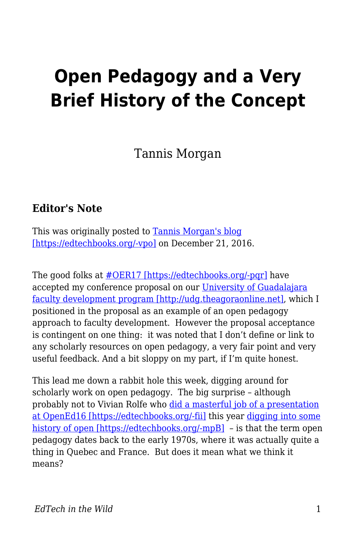## **Open Pedagogy and a Very Brief History of the Concept**

Tannis Morgan

## **Editor's Note**

This was originally posted to [Tannis Morgan's blog](https://homonym.ca/uncategorized/open-pedagogy-and-a-very-brief-history-of-the-concept/) [\[https://edtechbooks.org/-vpo\]](https://homonym.ca/uncategorized/open-pedagogy-and-a-very-brief-history-of-the-concept/) on December 21, 2016.

The good folks at  $\# OER17$  [https://edtechbooks.org/-pqr] have accepted my conference proposal on our [University of Guadalajara](http://udg.theagoraonline.net) [faculty development program \[http://udg.theagoraonline.net\],](http://udg.theagoraonline.net) which I positioned in the proposal as an example of an open pedagogy approach to faculty development. However the proposal acceptance is contingent on one thing: it was noted that I don't define or link to any scholarly resources on open pedagogy, a very fair point and very useful feedback. And a bit sloppy on my part, if I'm quite honest.

This lead me down a rabbit hole this week, digging around for scholarly work on open pedagogy. The big surprise – although probably not to Vivian Rolfe who [did a masterful job of a presentation](http://www.slideshare.net/viv_rolfe/opened16-conference-presentation) [at OpenEd16 \[https://edtechbooks.org/-fii\]](http://www.slideshare.net/viv_rolfe/opened16-conference-presentation) this year [digging into some](https://openeducation2016.sched.com/event/7loW/open-but-not-for-criticism) [history of open \[https://edtechbooks.org/-mpB\]](https://openeducation2016.sched.com/event/7loW/open-but-not-for-criticism) - is that the term open pedagogy dates back to the early 1970s, where it was actually quite a thing in Quebec and France. But does it mean what we think it means?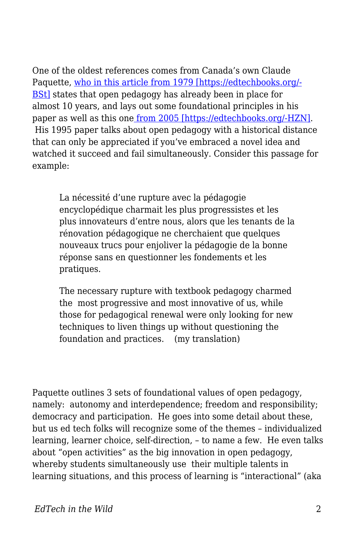One of the oldest references comes from Canada's own Claude Paquette, [who in this article from 1979 \[https://edtechbooks.org/-](http://www.erudit.org/culture/qf1076656/qf1208689/51334ac.pdf) [BSt\]](http://www.erudit.org/culture/qf1076656/qf1208689/51334ac.pdf) states that open pedagogy has already been in place for almost 10 years, and lays out some foundational principles in his paper as well as this one [from 2005 \[https://edtechbooks.org/-HZN\]](http://arc-en-ciel.csdm.ca/files/Pedagogie-ouverte-et-interactive.pdf). His 1995 paper talks about open pedagogy with a historical distance that can only be appreciated if you've embraced a novel idea and watched it succeed and fail simultaneously. Consider this passage for example:

La nécessité d'une rupture avec la pédagogie encyclopédique charmait les plus progressistes et les plus innovateurs d'entre nous, alors que les tenants de la rénovation pédagogique ne cherchaient que quelques nouveaux trucs pour enjoliver la pédagogie de la bonne réponse sans en questionner les fondements et les pratiques.

The necessary rupture with textbook pedagogy charmed the most progressive and most innovative of us, while those for pedagogical renewal were only looking for new techniques to liven things up without questioning the foundation and practices. (my translation)

Paquette outlines 3 sets of foundational values of open pedagogy, namely: autonomy and interdependence; freedom and responsibility; democracy and participation. He goes into some detail about these, but us ed tech folks will recognize some of the themes – individualized learning, learner choice, self-direction, – to name a few. He even talks about "open activities" as the big innovation in open pedagogy, whereby students simultaneously use their multiple talents in learning situations, and this process of learning is "interactional" (aka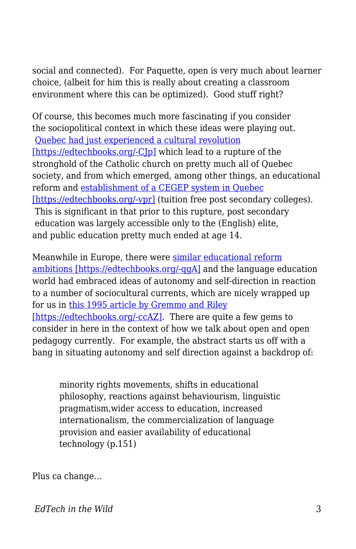social and connected). For Paquette, open is very much about learner choice, (albeit for him this is really about creating a classroom environment where this can be optimized). Good stuff right?

Of course, this becomes much more fascinating if you consider the sociopolitical context in which these ideas were playing out. [Quebec had just experienced a cultural revolution](https://en.wikipedia.org/wiki/Quiet_Revolution) [\[https://edtechbooks.org/-CJp\]](https://en.wikipedia.org/wiki/Quiet_Revolution) which lead to a rupture of the stronghold of the Catholic church on pretty much all of Quebec society, and from which emerged, among other things, an educational reform and [establishment of a CEGEP system in Quebec](https://en.wikipedia.org/wiki/CEGEP) [\[https://edtechbooks.org/-vpr\]](https://en.wikipedia.org/wiki/CEGEP) (tuition free post secondary colleges). This is significant in that prior to this rupture, post secondary education was largely accessible only to the (English) elite, and public education pretty much ended at age 14.

Meanwhile in Europe, there were [similar educational reform](https://en.wikipedia.org/wiki/May_1968_events_in_France) [ambitions \[https://edtechbooks.org/-qgA\]](https://en.wikipedia.org/wiki/May_1968_events_in_France) and the language education world had embraced ideas of autonomy and self-direction in reaction to a number of sociocultural currents, which are nicely wrapped up for us in [this 1995 article by Gremmo and Riley](http://people.exeter.ac.uk/zhhm201/1-s2.0-0346251X95000022-main.pdf) [\[https://edtechbooks.org/-ccAZ\]](http://people.exeter.ac.uk/zhhm201/1-s2.0-0346251X95000022-main.pdf). There are quite a few gems to consider in here in the context of how we talk about open and open pedagogy currently. For example, the abstract starts us off with a bang in situating autonomy and self direction against a backdrop of:

minority rights movements, shifts in educational philosophy, reactions against behaviourism, linguistic pragmatism,wider access to education, increased internationalism, the commercialization of language provision and easier availability of educational technology (p.151)

Plus ca change…

*EdTech in the Wild* 3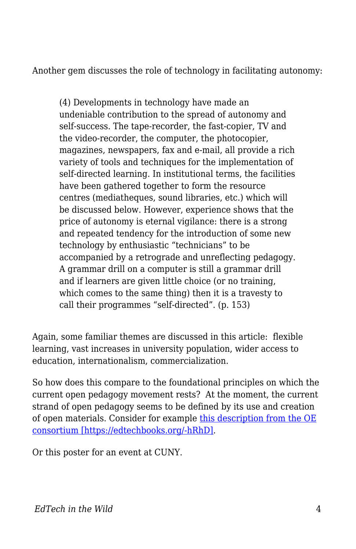Another gem discusses the role of technology in facilitating autonomy:

(4) Developments in technology have made an undeniable contribution to the spread of autonomy and self-success. The tape-recorder, the fast-copier, TV and the video-recorder, the computer, the photocopier, magazines, newspapers, fax and e-mail, all provide a rich variety of tools and techniques for the implementation of self-directed learning. In institutional terms, the facilities have been gathered together to form the resource centres (mediatheques, sound libraries, etc.) which will be discussed below. However, experience shows that the price of autonomy is eternal vigilance: there is a strong and repeated tendency for the introduction of some new technology by enthusiastic "technicians" to be accompanied by a retrograde and unreflecting pedagogy. A grammar drill on a computer is still a grammar drill and if learners are given little choice (or no training, which comes to the same thing) then it is a travesty to call their programmes "self-directed". (p. 153)

Again, some familiar themes are discussed in this article: flexible learning, vast increases in university population, wider access to education, internationalism, commercialization.

So how does this compare to the foundational principles on which the current open pedagogy movement rests? At the moment, the current strand of open pedagogy seems to be defined by its use and creation of open materials. Consider for example [this description from the OE](http://www.oeconsortium.org/info-center/topic/pedagogy-and-oer/) [consortium \[https://edtechbooks.org/-hRhD\]](http://www.oeconsortium.org/info-center/topic/pedagogy-and-oer/).

Or this poster for an event at CUNY.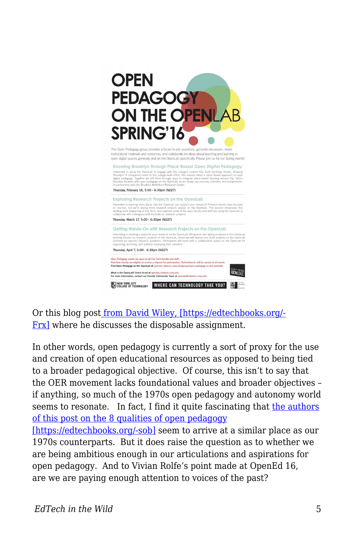

Or this blog pos[t from David Wiley, \[https://edtechbooks.org/-](http://opencontent.org/blog/archives/2975) [Frx\]](http://opencontent.org/blog/archives/2975) where he discusses the disposable assignment.

In other words, open pedagogy is currently a sort of proxy for the use and creation of open educational resources as opposed to being tied to a broader pedagogical objective. Of course, this isn't to say that the OER movement lacks foundational values and broader objectives – if anything, so much of the 1970s open pedagogy and autonomy world seems to resonate. In fact, I find it quite fascinating that [the authors](https://nextthought.com/thoughts/2015/02/ten-qualities-of-open-pedagogy) [of this post on the 8 qualities of open pedagogy](https://nextthought.com/thoughts/2015/02/ten-qualities-of-open-pedagogy) [\[https://edtechbooks.org/-sob\]](https://nextthought.com/thoughts/2015/02/ten-qualities-of-open-pedagogy) seem to arrive at a similar place as our 1970s counterparts. But it does raise the question as to whether we are being ambitious enough in our articulations and aspirations for open pedagogy. And to Vivian Rolfe's point made at OpenEd 16, are we are paying enough attention to voices of the past?